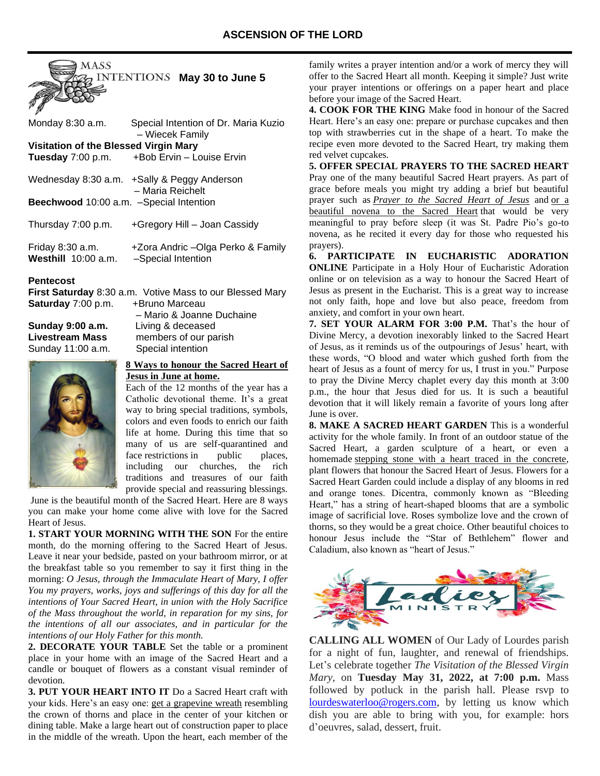

Monday 8:30 a.m. Special Intention of Dr. Maria Kuzio – Wiecek Family **Visitation of the Blessed Virgin Mary Tuesday** 7:00 p.m. +Bob Ervin – Louise Ervin Wednesday 8:30 a.m. +Sally & Peggy Anderson – Maria Reichelt **Beechwood** 10:00 a.m. –Special Intention Thursday 7:00 p.m. +Gregory Hill – Joan Cassidy Friday 8:30 a.m. +Zora Andric –Olga Perko & Family **Westhill** 10:00 a.m. –Special Intention

#### **Pentecost**

**First Saturday** 8:30 a.m. Votive Mass to our Blessed Mary **Saturday** 7:00 p.m. +Bruno Marceau – Mario & Joanne Duchaine **Sunday 9:00 a.m.** Living & deceased **Livestream Mass** members of our parish Sunday 11:00 a.m. Special intention

### **8 Ways to honour the Sacred Heart of Jesus in June at home.**

Each of the 12 months of the year has a Catholic devotional theme. It's a great way to bring special traditions, symbols, colors and even foods to enrich our faith life at home. During this time that so many of us are self-quarantined and face restrictions in public places, including our churches, the rich traditions and treasures of our faith provide special and reassuring blessings.

June is the beautiful month of the Sacred Heart. Here are 8 ways you can make your home come alive with love for the Sacred Heart of Jesus.

**1. START YOUR MORNING WITH THE SON** For the entire month, do the morning offering to the Sacred Heart of Jesus. Leave it near your bedside, pasted on your bathroom mirror, or at the breakfast table so you remember to say it first thing in the morning: *O Jesus, through the Immaculate Heart of Mary, I offer You my prayers, works, joys and sufferings of this day for all the intentions of Your Sacred Heart, in union with the Holy Sacrifice of the Mass throughout the world, in reparation for my sins, for the intentions of all our associates, and in particular for the intentions of our Holy Father for this month.*

**2. DECORATE YOUR TABLE** Set the table or a prominent place in your home with an image of the Sacred Heart and a candle or bouquet of flowers as a constant visual reminder of devotion.

**3. PUT YOUR HEART INTO IT** Do a Sacred Heart craft with your kids. Here's an easy one: [get a grapevine wreath](https://www.hobbylobby.com/Floral-Wedding/Floral-Supplies/Wreaths-Forms/Grapevine-Wreath---18%22/p/95272) resembling the crown of thorns and place in the center of your kitchen or dining table. Make a large heart out of construction paper to place in the middle of the wreath. Upon the heart, each member of the

family writes a prayer intention and/or a work of mercy they will offer to the Sacred Heart all month. Keeping it simple? Just write your prayer intentions or offerings on a paper heart and place before your image of the Sacred Heart.

**4. COOK FOR THE KING** Make food in honour of the Sacred Heart. Here's an easy one: prepare or purchase cupcakes and then top with strawberries cut in the shape of a heart. To make the recipe even more devoted to the Sacred Heart, try making them red velvet cupcakes.

**5. OFFER SPECIAL PRAYERS TO THE SACRED HEART** Pray one of the many beautiful Sacred Heart prayers. As part of grace before meals you might try adding a brief but beautiful prayer such as *[Prayer to the Sacred Heart of Jesus](https://www.amm.org/prayers/sacredheartjesus.aspx)* and [or a](https://www.ewtn.com/catholicism/devotions/novena-prayer-to-the-sacred-heart-311)  [beautiful novena to the Sacred Heart](https://www.ewtn.com/catholicism/devotions/novena-prayer-to-the-sacred-heart-311) that would be very meaningful to pray before sleep (it was St. Padre Pio's go-to novena, as he recited it every day for those who requested his prayers).

**6. PARTICIPATE IN EUCHARISTIC ADORATION ONLINE** Participate in a Holy Hour of Eucharistic Adoration online or on television as a way to honour the Sacred Heart of Jesus as present in the Eucharist. This is a great way to increase not only faith, hope and love but also peace, freedom from anxiety, and comfort in your own heart.

**7. SET YOUR ALARM FOR 3:00 P.M.** That's the hour of Divine Mercy, a devotion inexorably linked to the Sacred Heart of Jesus, as it reminds us of the outpourings of Jesus' heart, with these words, "O blood and water which gushed forth from the heart of Jesus as a fount of mercy for us, I trust in you." Purpose to pray the Divine Mercy chaplet every day this month at 3:00 p.m., the hour that Jesus died for us. It is such a beautiful devotion that it will likely remain a favorite of yours long after June is over.

**8. MAKE A SACRED HEART GARDEN** This is a wonderful activity for the whole family. In front of an outdoor statue of the Sacred Heart, a garden sculpture of a heart, or even a homemade [stepping stone with a heart traced in the concrete,](https://www.hobbylobby.com/Crafts-Hobbies/Mosaics/Kits/Make-Your-Garden-Stepping-Stone-Kit/p/21872?gclid=EAIaIQobChMIquvaic7D4gIVWAOGCh30uwMdEAQYAiABEgJmHPD_BwE) plant flowers that honour the Sacred Heart of Jesus. Flowers for a Sacred Heart Garden could include a display of any blooms in red and orange tones. Dicentra, commonly known as "Bleeding Heart," has a string of heart-shaped blooms that are a symbolic image of sacrificial love. Roses symbolize love and the crown of thorns, so they would be a great choice. Other beautiful choices to honour Jesus include the "Star of Bethlehem" flower and Caladium, also known as "heart of Jesus."



**CALLING ALL WOMEN** of Our Lady of Lourdes parish for a night of fun, laughter, and renewal of friendships. Let's celebrate together *The Visitation of the Blessed Virgin Mary*, on **Tuesday May 31, 2022, at 7:00 p.m.** Mass followed by potluck in the parish hall. Please rsvp to [lourdeswaterloo@rogers.com,](mailto:lourdeswaterloo@rogers.com) by letting us know which dish you are able to bring with you, for example: hors d'oeuvres, salad, dessert, fruit.